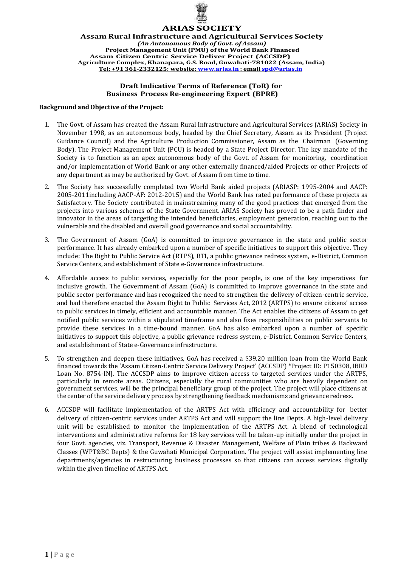

# **ARIAS SOCIETY**

**Assam Rural Infrastructure and Agricultural Services Society** *(An Autonomous Body of Govt. of Assam)* **Project Management Unit (PMU) of the World Bank Financed Assam Citizen Centric Service Deliver Project (ACCSDP) Agriculture Complex, Khanapara, G.S. Road, Guwahati-781022 (Assam, India) Tel: +91 361-2332125; website: [www.arias.in](http://www.arias.in/) ; email [spd@arias.in](mailto:spd@arias.in)**

## **Draft Indicative Terms of Reference (ToR) for Business Process Re-engineering Expert (BPRE)**

#### **Background andObjective of the Project:**

- 1. The Govt. of Assam has created the Assam Rural Infrastructure and Agricultural Services (ARIAS) Society in November 1998, as an autonomous body, headed by the Chief Secretary, Assam as its President (Project Guidance Council) and the Agriculture Production Commissioner, Assam as the Chairman (Governing Body). The Project Management Unit (PCU) is headed by a State Project Director. The key mandate of the Society is to function as an apex autonomous body of the Govt. of Assam for monitoring, coordination and/or implementation of World Bank or any other externally financed/aided Projects or other Projects of any department as may be authorized by Govt. of Assam from time to time.
- 2. The Society has successfully completed two World Bank aided projects (ARIASP: 1995-2004 and AACP: 2005-2011including AACP-AF: 2012-2015) and the World Bank has rated performance of these projects as Satisfactory. The Society contributed in mainstreaming many of the good practices that emerged from the projects into various schemes of the State Government. ARIAS Society has proved to be a path finder and innovator in the areas of targeting the intended beneficiaries, employment generation, reaching out to the vulnerable and the disabled and overall good governance and social accountability.
- 3. The Government of Assam (GoA) is committed to improve governance in the state and public sector performance. It has already embarked upon a number of specific initiatives to support this objective. They include: The Right to Public Service Act (RTPS), RTI, a public grievance redress system, e-District, Common Service Centers, and establishment of State e-Governance infrastructure.
- 4. Affordable access to public services, especially for the poor people, is one of the key imperatives for inclusive growth. The Government of Assam (GoA) is committed to improve governance in the state and public sector performance and has recognized the need to strengthen the delivery of citizen-centric service, and had therefore enacted the Assam Right to Public Services Act, 2012 (ARTPS) to ensure citizens' access to public services in timely, efficient and accountable manner. The Act enables the citizens of Assam to get notified public services within a stipulated timeframe and also fixes responsibilities on public servants to provide these services in a time-bound manner. GoA has also embarked upon a number of specific initiatives to support this objective, a public grievance redress system, e-District, Common Service Centers, and establishment of State e-Governance infrastructure.
- 5. To strengthen and deepen these initiatives, GoA has received a \$39.20 million loan from the World Bank financed towards the 'Assam Citizen-Centric Service Delivery Project' (ACCSDP) \*Project ID: P150308, IBRD Loan No. 8754-IN]. The ACCSDP aims to improve citizen access to targeted services under the ARTPS, particularly in remote areas. Citizens, especially the rural communities who are heavily dependent on government services, will be the principal beneficiary group of the project. The project will place citizens at the center of the service delivery process by strengthening feedback mechanisms and grievance redress.
- 6. ACCSDP will facilitate implementation of the ARTPS Act with efficiency and accountability for better delivery of citizen-centric services under ARTPS Act and will support the line Depts. A high-level delivery unit will be established to monitor the implementation of the ARTPS Act. A blend of technological interventions and administrative reforms for 18 key services will be taken-up initially under the project in four Govt. agencies, viz. Transport, Revenue & Disaster Management, Welfare of Plain tribes & Backward Classes (WPT&BC Depts) & the Guwahati Municipal Corporation. The project will assist implementing line departments/agencies in restructuring business processes so that citizens can access services digitally within the given timeline of ARTPS Act.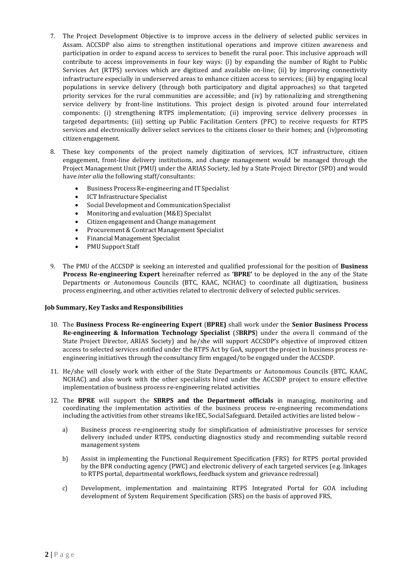- 7. The Project Development Objective is to improve access in the delivery of selected public services in Assam. ACCSDP also aims to strengthen institutional operations and improve citizen awareness and participation in order to expand access to services to benefit the rural poor. This inclusive approach will contribute to access improvements in four key ways: (i) by expanding the number of Right to Public Services Act (RTPS) services which are digitized and available on-line; (ii) by improving connectivity infrastructure especially in underserved areas to enhance citizen access to services; (iii) by engaging local populations in service delivery (through both participatory and digital approaches) so that targeted priority services for the rural communities are accessible; and (iv) by rationalizing and strengthening service delivery by front-line institutions. This project design is pivoted around four interrelated components: (i) strengthening RTPS implementation; (ii) improving service delivery processes in targeted departments; (iii) setting up Public Facilitation Centers (PFC) to receive requests for RTPS services and electronically deliver select services to the citizens closer to their homes; and (iv)promoting citizen engagement.
- 8. These key components of the project namely digitization of services, ICT infrastructure, citizen engagement, front-line delivery institutions, and change management would be managed through the Project Management Unit (PMU) under the ARIAS Society, led by a State Project Director (SPD) and would have *inter alia* the following staff/consultants:
	- Business Process Re-engineering and IT Specialist
	- ICT Infrastructure Specialist
	- Social Development and Communication Specialist
	- Monitoring and evaluation (M&E) Specialist
	- Citizen engagement and Change management
	- Procurement & Contract Management Specialist
	- Financial Management Specialist
	- PMU Support Staff
- 9. The PMU of the ACCSDP is seeking an interested and qualified professional for the position of **Business Process Re-engineering Expert** hereinafter referred as **'BPRE'** to be deployed in the any of the State Departments or Autonomous Councils (BTC, KAAC, NCHAC) to coordinate all digitization, business process engineering, and other activities related to electronic delivery of selected public services.

#### **Job Summary, KeyTasks and Responsibilities**

- 10. The **Business Process Re-engineering Expert** (**BPRE)** shall work under the **Senior Business Process Re-engineering & Information Technology Specialist** (*S***BRPS**) under the overa ll command of the State Project Director, ARIAS Society) and he/she will support ACCSDP's objective of improved citizen access to selected services notified under the RTPS Act by GoA, support the project in business process reengineering initiatives through the consultancy firm engaged/to be engaged under the ACCSDP.
- 11. He/she will closely work with either of the State Departments or Autonomous Councils (BTC, KAAC, NCHAC) and also work with the other specialists hired under the ACCSDP project to ensure effective implementation of business process re-engineering related activities.
- 12. The **BPRE** will support the **SBRPS and the Department officials** in managing, monitoring and coordinating the implementation activities of the business process re-engineering recommendations including the activities from other streams like IEC, Social Safeguard. Detailed activities are listed below –
	- a) Business process re-engineering study for simplification of administrative processes for service delivery included under RTPS, conducting diagnostics study and recommending suitable record management system
	- b) Assist in implementing the Functional Requirement Specification (FRS) for RTPS portal provided by the BPR conducting agency (PWC) and electronic delivery of each targeted services (e.g. linkages to RTPS portal, departmental workflows, feedback system and grievance redressal)
	- c) Development, implementation and maintaining RTPS Integrated Portal for GOA including development of System Requirement Specification (SRS) on the basis of approved FRS,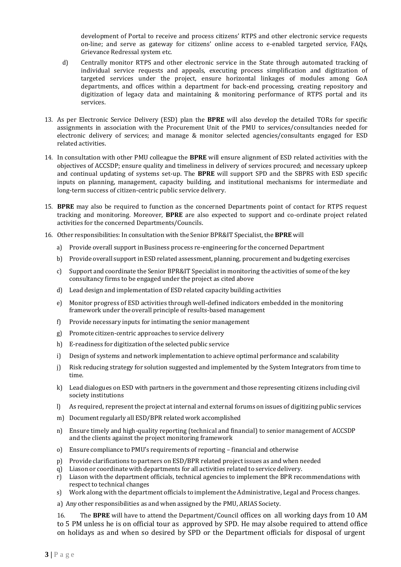development of Portal to receive and process citizens' RTPS and other electronic service requests on-line; and serve as gateway for citizens' online access to e-enabled targeted service, FAQs, Grievance Redressal system etc.

- d) Centrally monitor RTPS and other electronic service in the State through automated tracking of individual service requests and appeals, executing process simplification and digitization of targeted services under the project, ensure horizontal linkages of modules among GoA departments, and offices within a department for back-end processing, creating repository and digitization of legacy data and maintaining & monitoring performance of RTPS portal and its services.
- 13. As per Electronic Service Delivery (ESD) plan the **BPRE** will also develop the detailed TORs for specific assignments in association with the Procurement Unit of the PMU to services/consultancies needed for electronic delivery of services; and manage & monitor selected agencies/consultants engaged for ESD related activities.
- 14. In consultation with other PMU colleague the **BPRE** will ensure alignment of ESD related activities with the objectives of ACCSDP; ensure quality and timeliness in delivery of services procured; and necessary upkeep and continual updating of systems set-up. The **BPRE** will support SPD and the SBPRS with ESD specific inputs on planning, management, capacity building, and institutional mechanisms for intermediate and long-term success of citizen-centric public service delivery.
- 15. **BPRE** may also be required to function as the concerned Departments point of contact for RTPS request tracking and monitoring. Moreover, **BPRE** are also expected to support and co-ordinate project related activities for the concerned Departments/Councils.
- 16. Other responsibilities: In consultation with the Senior BPR&IT Specialist, the **BPRE** will
	- a) Provide overall support in Business process re-engineering for the concerned Department
	- b) Provide overall support in ESD related assessment, planning, procurement and budgeting exercises
	- c) Support and coordinate the Senior BPR&IT Specialist in monitoring the activities of some of the key consultancy firms to be engaged under the project as cited above
	- d) Lead design and implementation of ESD related capacity building activities
	- e) Monitor progress of ESD activities through well-defined indicators embedded in the monitoring framework under the overall principle of results-based management
	- f) Provide necessary inputs for intimating the senior management
	- g) Promote citizen-centric approaches to service delivery
	- h) E-readiness for digitization of the selected public service
	- i) Design of systems and network implementation to achieve optimal performance and scalability
	- j) Risk reducing strategy for solution suggested and implemented by the System Integrators from time to time.
	- k) Lead dialogues on ESD with partners in the government and those representing citizens including civil society institutions
	- l) As required, represent the project at internal and external forums on issues of digitizing public services
	- m) Document regularly all ESD/BPR related work accomplished
	- n) Ensure timely and high-quality reporting (technical and financial) to senior management of ACCSDP and the clients against the project monitoring framework
	- o) Ensure compliance to PMU's requirements of reporting financial and otherwise
	- p) Provide clarifications to partners on ESD/BPR related project issues as and when needed
	- q) Liason or coordinate with departments for all activities related to service delivery.
	- r) Liason with the department officials, technical agencies to implement the BPR recommendations with respect to technical changes
	- s) Work along with the department officials to implement the Administrative, Legal and Process changes.
	- a) Any other responsibilities as and when assigned by the PMU, ARIAS Society.

16. The **BPRE** will have to attend the Department/Council offices on all working days from 10 AM to 5 PM unless he is on official tour as approved by SPD. He may alsobe required to attend office on holidays as and when so desired by SPD or the Department officials for disposal of urgent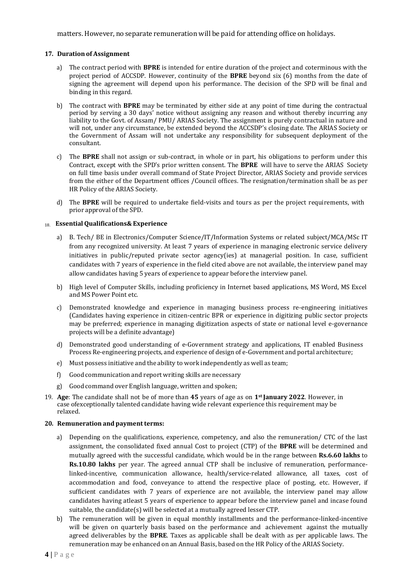matters. However, no separate remuneration will be paid for attending office on holidays.

## **17. Duration of Assignment**

- a) The contract period with **BPRE** is intended for entire duration of the project and coterminous with the project period of ACCSDP. However, continuity of the **BPRE** beyond six (6) months from the date of signing the agreement will depend upon his performance. The decision of the SPD will be final and binding in this regard.
- b) The contract with **BPRE** may be terminated by either side at any point of time during the contractual period by serving a 30 days' notice without assigning any reason and without thereby incurring any liability to the Govt. of Assam/ PMU/ ARIAS Society. The assignment is purely contractual in nature and will not, under any circumstance, be extended beyond the ACCSDP's closing date. The ARIAS Society or the Government of Assam will not undertake any responsibility for subsequent deployment of the consultant.
- c) The **BPRE** shall not assign or sub-contract, in whole or in part, his obligations to perform under this Contract, except with the SPD's prior written consent. The **BPRE** will have to serve the ARIAS Society on full time basis under overall command of State Project Director, ARIAS Society and provide services from the either of the Department offices /Council offices. The resignation/termination shall be as per HR Policy of the ARIAS Society.
- d) The **BPRE** will be required to undertake field-visits and tours as per the project requirements, with prior approval of the SPD.

#### 18. **EssentialQualifications& Experience**

- a) B. Tech/ BE in Electronics/Computer Science/IT/Information Systems or related subject/MCA/MSc IT from any recognized university. At least 7 years of experience in managing electronic service delivery initiatives in public/reputed private sector agency(ies) at managerial position. In case, sufficient candidates with 7 years of experience in the field cited above are not available, the interview panel may allow candidates having 5 years of experience to appear before the interview panel.
- b) High level of Computer Skills, including proficiency in Internet based applications, MS Word, MS Excel and MS Power Point etc.
- c) Demonstrated knowledge and experience in managing business process re-engineering initiatives (Candidates having experience in citizen-centric BPR or experience in digitizing public sector projects may be preferred; experience in managing digitization aspects of state or national level e-governance projects will be a definite advantage)
- d) Demonstrated good understanding of e-Government strategy and applications, IT enabled Business Process Re-engineering projects, and experience of design of e-Government and portal architecture;
- e) Must possess initiative and the ability to work independently as well as team;
- f) Good communication and report writing skills are necessary
- g) Good command over English language, written and spoken;
- 19. **Age**: The candidate shall not be of more than **45** years of age as on **1st January 2022**. However, in case ofexceptionally talented candidate having wide relevant experience this requirement may be relaxed.

#### **20.** Remuneration and payment terms:

- a) Depending on the qualifications, experience, competency, and also the remuneration/ CTC of the last assignment, the consolidated fixed annual Cost to project (CTP) of the **BPRE** will be determined and mutually agreed with the successful candidate, which would be in the range between **Rs.6.60 lakhs** to **Rs.10.80 lakhs** per year. The agreed annual CTP shall be inclusive of remuneration, performancelinked-incentive, communication allowance, health/service-related allowance, all taxes, cost of accommodation and food, conveyance to attend the respective place of posting, etc. However, if sufficient candidates with 7 years of experience are not available, the interview panel may allow candidates having atleast 5 years of experience to appear before the interview panel and incase found suitable, the candidate(s) will be selected at a mutually agreed lesser CTP.
- b) The remuneration will be given in equal monthly installments and the performance-linked-incentive will be given on quarterly basis based on the performance and achievement against the mutually agreed deliverables by the **BPRE**. Taxes as applicable shall be dealt with as per applicable laws. The remuneration may be enhanced on an Annual Basis, based on the HR Policy of the ARIAS Society.